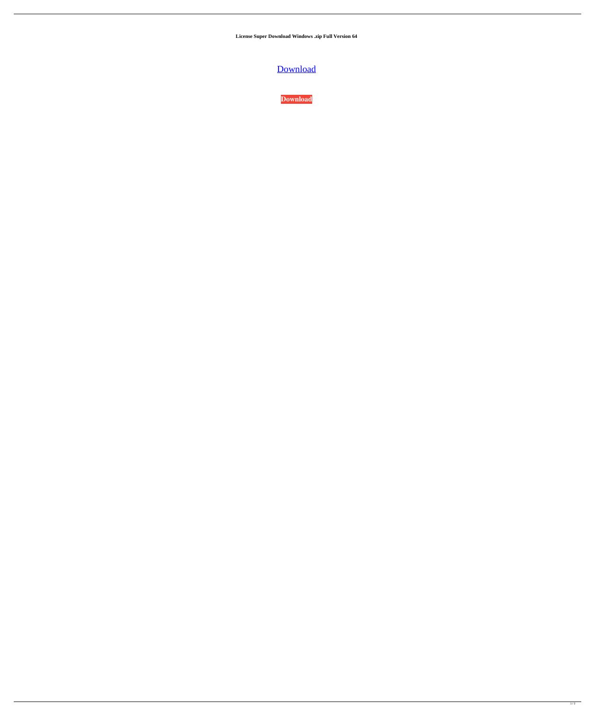**License Super Download Windows .zip Full Version 64**

**[Download](http://evacdir.com/leicestershire/ZG93bmxvYWR8MXlnTW1wcE1IeDhNVFkxTWpjME1EZzJObng4TWpVM05IeDhLRTBwSUhKbFlXUXRZbXh2WnlCYlJtRnpkQ0JIUlU1ZA/?ltrs/c3VwZXJtYW4gcmV0dXJucyBwYyBnYW1lIGZ1bGwgMTkxaW5zdG1hbmsc3V/composure.cabinetmaker)** 

**[Download](http://evacdir.com/leicestershire/ZG93bmxvYWR8MXlnTW1wcE1IeDhNVFkxTWpjME1EZzJObng4TWpVM05IeDhLRTBwSUhKbFlXUXRZbXh2WnlCYlJtRnpkQ0JIUlU1ZA/?ltrs/c3VwZXJtYW4gcmV0dXJucyBwYyBnYW1lIGZ1bGwgMTkxaW5zdG1hbmsc3V/composure.cabinetmaker)**